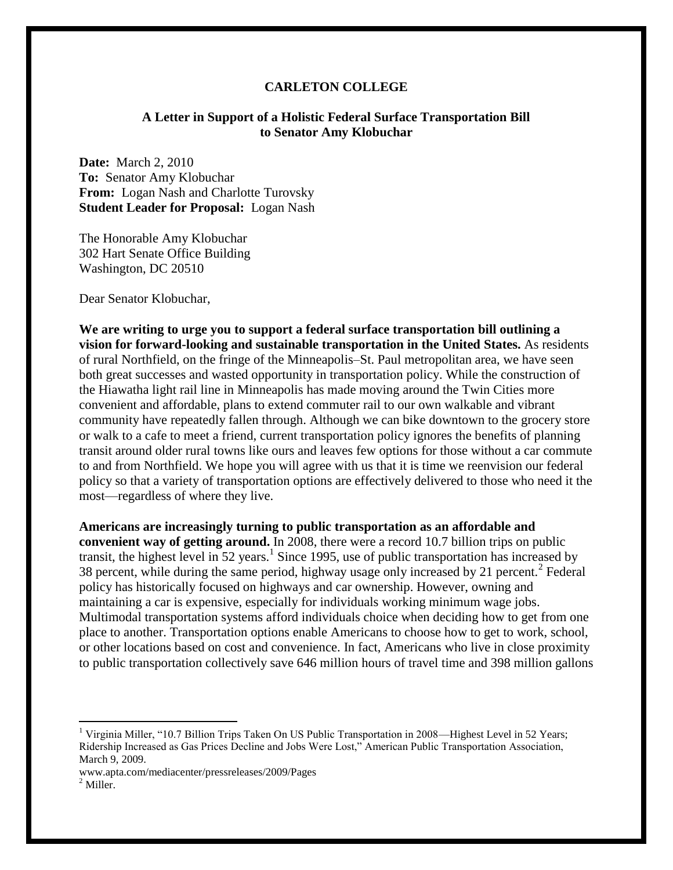## **CARLETON COLLEGE**

## **A Letter in Support of a Holistic Federal Surface Transportation Bill to Senator Amy Klobuchar**

**Date:** March 2, 2010 **To:** Senator Amy Klobuchar **From:** Logan Nash and Charlotte Turovsky **Student Leader for Proposal:** Logan Nash

The Honorable Amy Klobuchar 302 Hart Senate Office Building Washington, DC 20510

Dear Senator Klobuchar,

**We are writing to urge you to support a federal surface transportation bill outlining a vision for forward-looking and sustainable transportation in the United States.** As residents of rural Northfield, on the fringe of the Minneapolis–St. Paul metropolitan area, we have seen both great successes and wasted opportunity in transportation policy. While the construction of the Hiawatha light rail line in Minneapolis has made moving around the Twin Cities more convenient and affordable, plans to extend commuter rail to our own walkable and vibrant community have repeatedly fallen through. Although we can bike downtown to the grocery store or walk to a cafe to meet a friend, current transportation policy ignores the benefits of planning transit around older rural towns like ours and leaves few options for those without a car commute to and from Northfield. We hope you will agree with us that it is time we reenvision our federal policy so that a variety of transportation options are effectively delivered to those who need it the most—regardless of where they live.

**Americans are increasingly turning to public transportation as an affordable and convenient way of getting around.** In 2008, there were a record 10.7 billion trips on public transit, the highest level in 52 years.<sup>1</sup> Since 1995, use of public transportation has increased by 38 percent, while during the same period, highway usage only increased by 21 percent.<sup>2</sup> Federal policy has historically focused on highways and car ownership. However, owning and maintaining a car is expensive, especially for individuals working minimum wage jobs. Multimodal transportation systems afford individuals choice when deciding how to get from one place to another. Transportation options enable Americans to choose how to get to work, school, or other locations based on cost and convenience. In fact, Americans who live in close proximity to public transportation collectively save 646 million hours of travel time and 398 million gallons

 $\overline{a}$ 

<sup>&</sup>lt;sup>1</sup> Virginia Miller, "10.7 Billion Trips Taken On US Public Transportation in 2008—Highest Level in 52 Years; Ridership Increased as Gas Prices Decline and Jobs Were Lost," American Public Transportation Association, March 9, 2009.

www.apta.com/mediacenter/pressreleases/2009/Pages

<sup>&</sup>lt;sup>2</sup> Miller.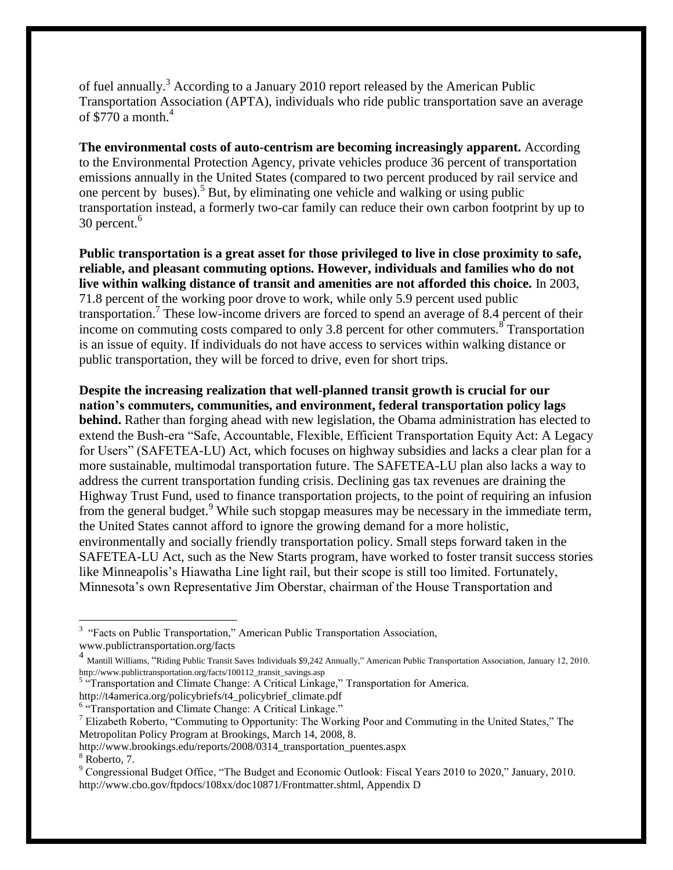of fuel annually.<sup>3</sup> According to a January 2010 report released by the American Public Transportation Association (APTA), individuals who ride public transportation save an average of \$770 a month. $4$ 

**The environmental costs of auto-centrism are becoming increasingly apparent.** According to the Environmental Protection Agency, private vehicles produce 36 percent of transportation emissions annually in the United States (compared to two percent produced by rail service and one percent by buses).<sup>5</sup> But, by eliminating one vehicle and walking or using public transportation instead, a formerly two-car family can reduce their own carbon footprint by up to 30 percent.<sup>6</sup>

**Public transportation is a great asset for those privileged to live in close proximity to safe, reliable, and pleasant commuting options. However, individuals and families who do not live within walking distance of transit and amenities are not afforded this choice.** In 2003, 71.8 percent of the working poor drove to work, while only 5.9 percent used public transportation.<sup>7</sup> These low-income drivers are forced to spend an average of 8.4 percent of their income on commuting costs compared to only 3.8 percent for other commuters.  $\frac{1}{8}$  Transportation is an issue of equity. If individuals do not have access to services within walking distance or public transportation, they will be forced to drive, even for short trips.

**Despite the increasing realization that well-planned transit growth is crucial for our nation's commuters, communities, and environment, federal transportation policy lags behind.** Rather than forging ahead with new legislation, the Obama administration has elected to extend the Bush-era "Safe, Accountable, Flexible, Efficient Transportation Equity Act: A Legacy for Users" (SAFETEA-LU) Act, which focuses on highway subsidies and lacks a clear plan for a more sustainable, multimodal transportation future. The SAFETEA-LU plan also lacks a way to address the current transportation funding crisis. Declining gas tax revenues are draining the Highway Trust Fund, used to finance transportation projects, to the point of requiring an infusion from the general budget.<sup>9</sup> While such stopgap measures may be necessary in the immediate term, the United States cannot afford to ignore the growing demand for a more holistic, environmentally and socially friendly transportation policy. Small steps forward taken in the SAFETEA-LU Act, such as the New Starts program, have worked to foster transit success stories like Minneapolis's Hiawatha Line light rail, but their scope is still too limited. Fortunately, Minnesota's own Representative Jim Oberstar, chairman of the House Transportation and

http://t4america.org/policybriefs/t4\_policybrief\_climate.pdf

http://www.brookings.edu/reports/2008/0314\_transportation\_puentes.aspx

 $\overline{a}$ 

<sup>&</sup>lt;sup>3</sup> "Facts on Public Transportation," American Public Transportation Association, www.publictransportation.org/facts

<sup>4&</sup>lt;br>Mantill Williams, "Riding Public Transit Saves Individuals \$9,242 Annually," American Public Transportation Association, January 12, 2010. http://www.publictransportation.org/facts/100112\_transit\_savings.asp

<sup>&</sup>lt;sup>5 a</sup> Transportation and Climate Change: A Critical Linkage," Transportation for America.

<sup>&</sup>lt;sup>6</sup> "Transportation and Climate Change: A Critical Linkage."

<sup>&</sup>lt;sup>7</sup> Elizabeth Roberto, "Commuting to Opportunity: The Working Poor and Commuting in the United States," The Metropolitan Policy Program at Brookings, March 14, 2008, 8.

<sup>&</sup>lt;sup>8</sup> Roberto, 7.

<sup>&</sup>lt;sup>9</sup> Congressional Budget Office, "The Budget and Economic Outlook: Fiscal Years 2010 to 2020," January, 2010. http://www.cbo.gov/ftpdocs/108xx/doc10871/Frontmatter.shtml, Appendix D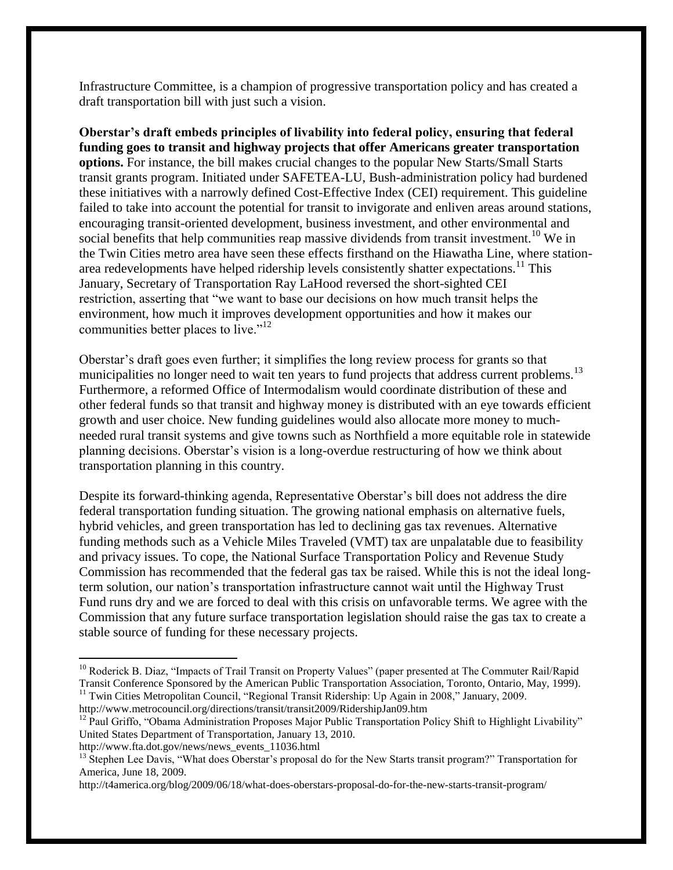Infrastructure Committee, is a champion of progressive transportation policy and has created a draft transportation bill with just such a vision.

**Oberstar's draft embeds principles of livability into federal policy, ensuring that federal funding goes to transit and highway projects that offer Americans greater transportation options.** For instance, the bill makes crucial changes to the popular New Starts/Small Starts transit grants program. Initiated under SAFETEA-LU, Bush-administration policy had burdened these initiatives with a narrowly defined Cost-Effective Index (CEI) requirement. This guideline failed to take into account the potential for transit to invigorate and enliven areas around stations, encouraging transit-oriented development, business investment, and other environmental and social benefits that help communities reap massive dividends from transit investment.<sup>10</sup> We in the Twin Cities metro area have seen these effects firsthand on the Hiawatha Line, where stationarea redevelopments have helped ridership levels consistently shatter expectations.<sup>11</sup> This January, Secretary of Transportation Ray LaHood reversed the short-sighted CEI restriction, asserting that "we want to base our decisions on how much transit helps the environment, how much it improves development opportunities and how it makes our communities better places to live." $12$ 

Oberstar's draft goes even further; it simplifies the long review process for grants so that municipalities no longer need to wait ten years to fund projects that address current problems.<sup>13</sup> Furthermore, a reformed Office of Intermodalism would coordinate distribution of these and other federal funds so that transit and highway money is distributed with an eye towards efficient growth and user choice. New funding guidelines would also allocate more money to muchneeded rural transit systems and give towns such as Northfield a more equitable role in statewide planning decisions. Oberstar's vision is a long-overdue restructuring of how we think about transportation planning in this country.

Despite its forward-thinking agenda, Representative Oberstar's bill does not address the dire federal transportation funding situation. The growing national emphasis on alternative fuels, hybrid vehicles, and green transportation has led to declining gas tax revenues. Alternative funding methods such as a Vehicle Miles Traveled (VMT) tax are unpalatable due to feasibility and privacy issues. To cope, the National Surface Transportation Policy and Revenue Study Commission has recommended that the federal gas tax be raised. While this is not the ideal longterm solution, our nation's transportation infrastructure cannot wait until the Highway Trust Fund runs dry and we are forced to deal with this crisis on unfavorable terms. We agree with the Commission that any future surface transportation legislation should raise the gas tax to create a stable source of funding for these necessary projects.

http://www.fta.dot.gov/news/news\_events\_11036.html

 $\overline{a}$ 

<sup>&</sup>lt;sup>10</sup> Roderick B. Diaz, "Impacts of Trail Transit on Property Values" (paper presented at The Commuter Rail/Rapid Transit Conference Sponsored by the American Public Transportation Association, Toronto, Ontario, May, 1999). <sup>11</sup> Twin Cities Metropolitan Council, "Regional Transit Ridership: Up Again in 2008," January, 2009. http://www.metrocouncil.org/directions/transit/transit2009/RidershipJan09.htm

<sup>&</sup>lt;sup>12</sup> Paul Griffo, "Obama Administration Proposes Major Public Transportation Policy Shift to Highlight Livability" United States Department of Transportation, January 13, 2010.

<sup>&</sup>lt;sup>13</sup> Stephen Lee Davis, "What does Oberstar's proposal do for the New Starts transit program?" Transportation for America, June 18, 2009.

http://t4america.org/blog/2009/06/18/what-does-oberstars-proposal-do-for-the-new-starts-transit-program/